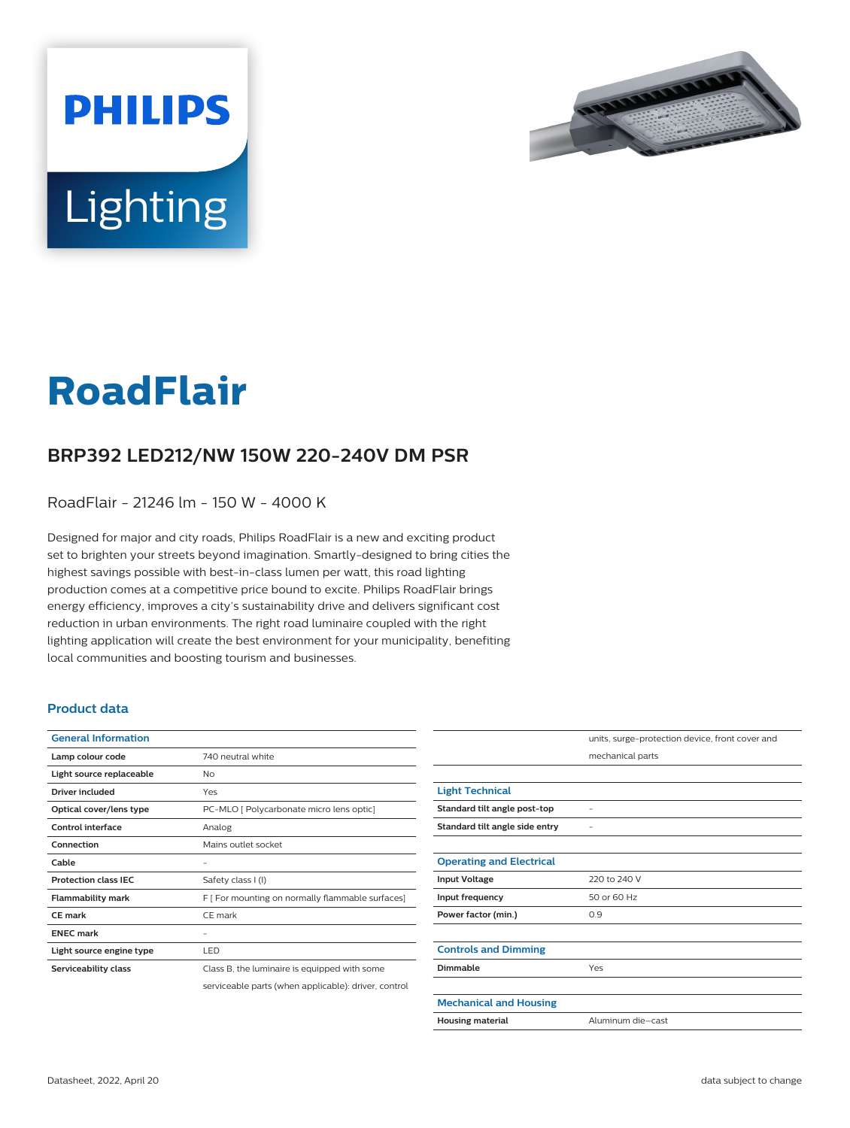



# **RoadFlair**

## **BRP392 LED212/NW 150W 220-240V DM PSR**

RoadFlair - 21246 lm - 150 W - 4000 K

Designed for major and city roads, Philips RoadFlair is a new and exciting product set to brighten your streets beyond imagination. Smartly-designed to bring cities the highest savings possible with best-in-class lumen per watt, this road lighting production comes at a competitive price bound to excite. Philips RoadFlair brings energy efficiency, improves a city's sustainability drive and delivers significant cost reduction in urban environments. The right road luminaire coupled with the right lighting application will create the best environment for your municipality, benefiting local communities and boosting tourism and businesses.

#### **Product data**

| <b>General Information</b>  |                                                      |
|-----------------------------|------------------------------------------------------|
| Lamp colour code            | 740 neutral white                                    |
| Light source replaceable    | No                                                   |
| Driver included             | Yes                                                  |
| Optical cover/lens type     | PC-MLO [ Polycarbonate micro lens optic]             |
| Control interface           | Analog                                               |
| Connection                  | Mains outlet socket                                  |
| Cable                       |                                                      |
| <b>Protection class IEC</b> | Safety class I (I)                                   |
| <b>Flammability mark</b>    | F [ For mounting on normally flammable surfaces]     |
| <b>CE</b> mark              | CE mark                                              |
| <b>FNFC</b> mark            |                                                      |
| Light source engine type    | LED                                                  |
| Serviceability class        | Class B, the luminaire is equipped with some         |
|                             | serviceable parts (when applicable): driver, control |

|                                 | units, surge-protection device, front cover and |
|---------------------------------|-------------------------------------------------|
|                                 | mechanical parts                                |
|                                 |                                                 |
| <b>Light Technical</b>          |                                                 |
| Standard tilt angle post-top    |                                                 |
| Standard tilt angle side entry  |                                                 |
|                                 |                                                 |
| <b>Operating and Electrical</b> |                                                 |
| <b>Input Voltage</b>            | 220 to 240 V                                    |
| Input frequency                 | 50 or 60 Hz                                     |
| Power factor (min.)             | 0.9                                             |
|                                 |                                                 |
| <b>Controls and Dimming</b>     |                                                 |
| <b>Dimmable</b>                 | Yes                                             |
|                                 |                                                 |
| <b>Mechanical and Housing</b>   |                                                 |
| <b>Housing material</b>         | Aluminum die-cast                               |
|                                 |                                                 |